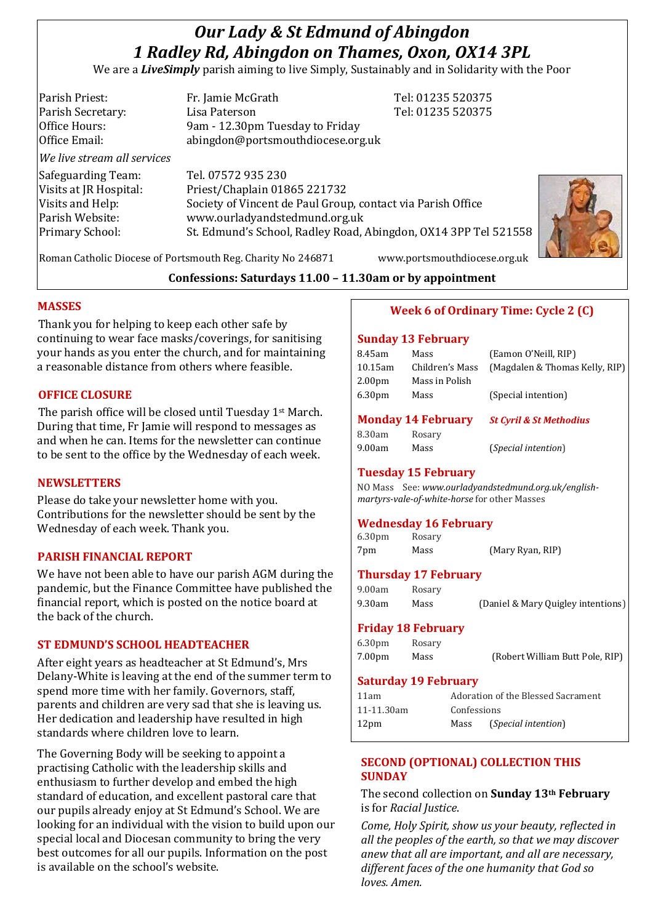# *Our Lady & St Edmund of Abingdon 1 Radley Rd, Abingdon on Thames, Oxon, OX14 3PL*

We are a *LiveSimply* parish aiming to live Simply, Sustainably and in Solidarity with the Poor

| Parish Priest:              | Fr. Jamie McGrath                                               | Tel: 01235 520375 |
|-----------------------------|-----------------------------------------------------------------|-------------------|
| Parish Secretary:           | Lisa Paterson                                                   | Tel: 01235 520375 |
| Office Hours:               | 9am - 12.30pm Tuesday to Friday                                 |                   |
| Office Email:               | abingdon@portsmouthdiocese.org.uk                               |                   |
| We live stream all services |                                                                 |                   |
| Safeguarding Team:          | Tel. 07572 935 230                                              |                   |
| Visits at JR Hospital:      | Priest/Chaplain 01865 221732                                    |                   |
| Visits and Help:            | Society of Vincent de Paul Group, contact via Parish Office     |                   |
| Parish Website:             | www.ourladyandstedmund.org.uk                                   |                   |
| <b>Primary School:</b>      | St. Edmund's School, Radley Road, Abingdon, OX14 3PP Tel 521558 |                   |
|                             |                                                                 |                   |
|                             |                                                                 |                   |



Roman Catholic Diocese of Portsmouth Reg. Charity No 246871 www.portsmouthdiocese.org.uk

# **Confessions: Saturdays 11.00 – 11.30am or by appointment**

# **MASSES**

Thank you for helping to keep each other safe by continuing to wear face masks/coverings, for sanitising your hands as you enter the church, and for maintaining a reasonable distance from others where feasible.

# **OFFICE CLOSURE**

The parish office will be closed until Tuesday 1st March. During that time, Fr Jamie will respond to messages as and when he can. Items for the newsletter can continue to be sent to the office by the Wednesday of each week.

### **NEWSLETTERS**

Please do take your newsletter home with you. Contributions for the newsletter should be sent by the Wednesday of each week. Thank you.

# **PARISH FINANCIAL REPORT**

We have not been able to have our parish AGM during the pandemic, but the Finance Committee have published the financial report, which is posted on the notice board at the back of the church.

# **ST EDMUND'S SCHOOL HEADTEACHER**

After eight years as headteacher at St Edmund's, Mrs Delany-White is leaving at the end of the summer term to spend more time with her family. Governors, staff, parents and children are very sad that she is leaving us. Her dedication and leadership have resulted in high standards where children love to learn.

The Governing Body will be seeking to appoint a practising Catholic with the leadership skills and enthusiasm to further develop and embed the high standard of education, and excellent pastoral care that our pupils already enjoy at St Edmund's School. We are looking for an individual with the vision to build upon our special local and Diocesan community to bring the very best outcomes for all our pupils. Information on the post is available on the school's website.

# **Week 6 of Ordinary Time: Cycle 2 (C)**

#### **Sunday 13 February**

| 8.45am             | Mass                                | (Eamon O'Neill, RIP)           |
|--------------------|-------------------------------------|--------------------------------|
| 10.15am            | Children's Mass                     | (Magdalen & Thomas Kelly, RIP) |
| 2.00 <sub>pm</sub> | Mass in Polish                      |                                |
| 6.30pm             | Mass                                | (Special intention)            |
|                    | $M = 1 - 1 - 4$ and $M = 1 - 1 - 1$ |                                |

# **Monday 14 February** *St Cyril & St Methodius*

8.30am Rosary

9.00am Mass (*Special intention*)

# **Tuesday 15 February**

NO Mass See: *www.ourladyandstedmund.org.uk/englishmartyrs-vale-of-white-horse* for other Masses

# **Wednesday 16 February**

6.30pm Rosary 7pm Mass (Mary Ryan, RIP)

**Thursday 17 February**  9.00am Rosary

9.30am Mass (Daniel & Mary Quigley intentions)

### **Friday 18 February**

6.30pm Rosary 7.00pm Mass (Robert William Butt Pole, RIP)

### **Saturday 19 February**

| 11am             | Adoration of the Blessed Sacrament |                              |
|------------------|------------------------------------|------------------------------|
| 11-11.30am       | Confessions                        |                              |
| 12 <sub>pm</sub> | Mass                               | ( <i>Special intention</i> ) |

# **SECOND (OPTIONAL) COLLECTION THIS SUNDAY**

The second collection on **Sunday 13th February** is for *Racial Justice*.

*Come, Holy Spirit, show us your beauty, reflected in all the peoples of the earth, so that we may discover anew that all are important, and all are necessary, different faces of the one humanity that God so loves. Amen.*